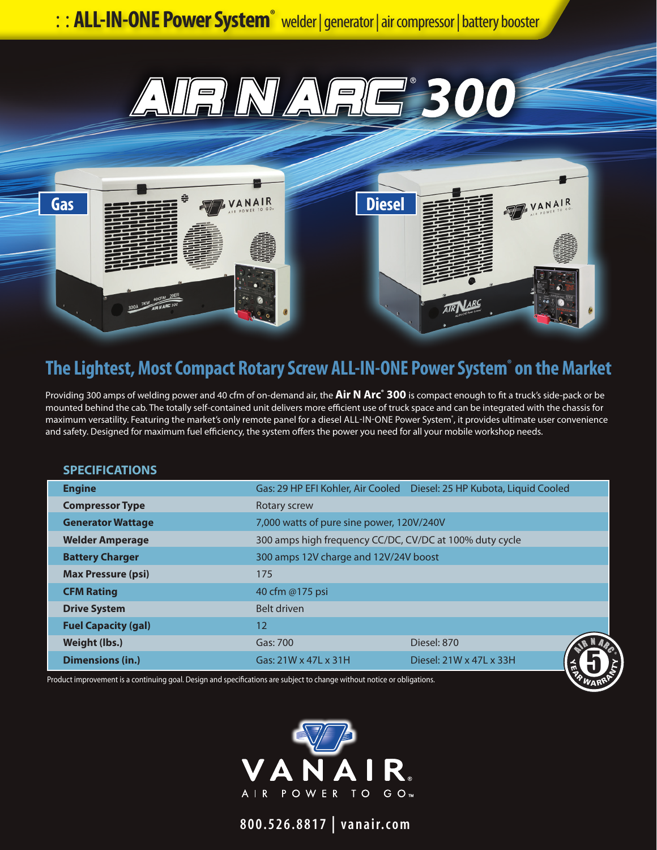



## **The Lightest, Most Compact Rotary Screw ALL-IN-ONE Power System® on the Market**

Providing 300 amps of welding power and 40 cfm of on-demand air, the **Air N Arc® 300** is compact enough to fit a truck's side-pack or be mounted behind the cab. The totally self-contained unit delivers more efficient use of truck space and can be integrated with the chassis for maximum versatility. Featuring the market's only remote panel for a diesel ALL-IN-ONE Power System<sup>\*</sup>, it provides ultimate user convenience and safety. Designed for maximum fuel efficiency, the system offers the power you need for all your mobile workshop needs.

## **SPECIFICATIONS**

| <b>Engine</b>                                                                                                            |                                                         | Gas: 29 HP EFI Kohler, Air Cooled  Diesel: 25 HP Kubota, Liquid Cooled |  |
|--------------------------------------------------------------------------------------------------------------------------|---------------------------------------------------------|------------------------------------------------------------------------|--|
| <b>Compressor Type</b>                                                                                                   | Rotary screw                                            |                                                                        |  |
| <b>Generator Wattage</b>                                                                                                 | 7,000 watts of pure sine power, 120V/240V               |                                                                        |  |
| <b>Welder Amperage</b>                                                                                                   | 300 amps high frequency CC/DC, CV/DC at 100% duty cycle |                                                                        |  |
| <b>Battery Charger</b>                                                                                                   | 300 amps 12V charge and 12V/24V boost                   |                                                                        |  |
| <b>Max Pressure (psi)</b>                                                                                                | 175                                                     |                                                                        |  |
| <b>CFM Rating</b>                                                                                                        | 40 cfm @175 psi                                         |                                                                        |  |
| <b>Drive System</b>                                                                                                      | Belt driven                                             |                                                                        |  |
| <b>Fuel Capacity (gal)</b>                                                                                               | $12 \overline{ }$                                       |                                                                        |  |
| Weight (lbs.)                                                                                                            | Gas: 700                                                | Diesel: 870                                                            |  |
| <b>Dimensions (in.)</b>                                                                                                  | Gas: 21W x 47L x 31H                                    | Diesel: 21W x 47L x 33H                                                |  |
| Product improvement is a continuing goal. Design and specifications are subject to change without notice or obligations. |                                                         |                                                                        |  |



**800.526.8817 | vanair.com**